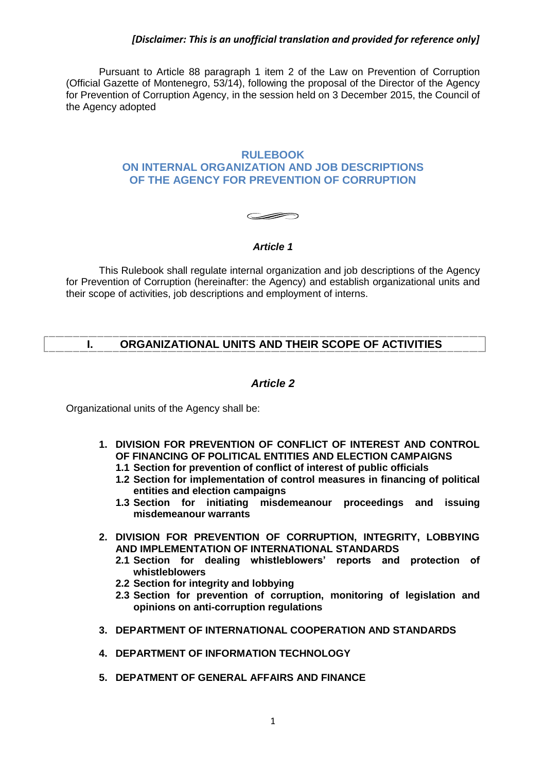Pursuant to Article 88 paragraph 1 item 2 of the Law on Prevention of Corruption (Official Gazette of Montenegro, 53/14), following the proposal of the Director of the Agency for Prevention of Corruption Agency, in the session held on 3 December 2015, the Council of the Agency adopted

### **RULEBOOK ON INTERNAL ORGANIZATION AND JOB DESCRIPTIONS OF THE AGENCY FOR PREVENTION OF CORRUPTION**

# **SIERRO**

# *Article 1*

This Rulebook shall regulate internal organization and job descriptions of the Agency for Prevention of Corruption (hereinafter: the Agency) and establish organizational units and their scope of activities, job descriptions and employment of interns.

# **I. ORGANIZATIONAL UNITS AND THEIR SCOPE OF ACTIVITIES**

# *Article 2*

Organizational units of the Agency shall be:

- **1. DIVISION FOR PREVENTION OF CONFLICT OF INTEREST AND CONTROL OF FINANCING OF POLITICAL ENTITIES AND ELECTION CAMPAIGNS**
	- **1.1 Section for prevention of conflict of interest of public officials**
	- **1.2 Section for implementation of control measures in financing of political entities and election campaigns**
	- **1.3 Section for initiating misdemeanour proceedings and issuing misdemeanour warrants**
- **2. DIVISION FOR PREVENTION OF CORRUPTION, INTEGRITY, LOBBYING AND IMPLEMENTATION OF INTERNATIONAL STANDARDS**
	- **2.1 Section for dealing whistleblowers' reports and protection of whistleblowers**
	- **2.2 Section for integrity and lobbying**
	- **2.3 Section for prevention of corruption, monitoring of legislation and opinions on anti-corruption regulations**
- **3. DEPARTMENT OF INTERNATIONAL COOPERATION AND STANDARDS**
- **4. DEPARTMENT OF INFORMATION TECHNOLOGY**
- **5. DEPATMENT OF GENERAL AFFAIRS AND FINANCE**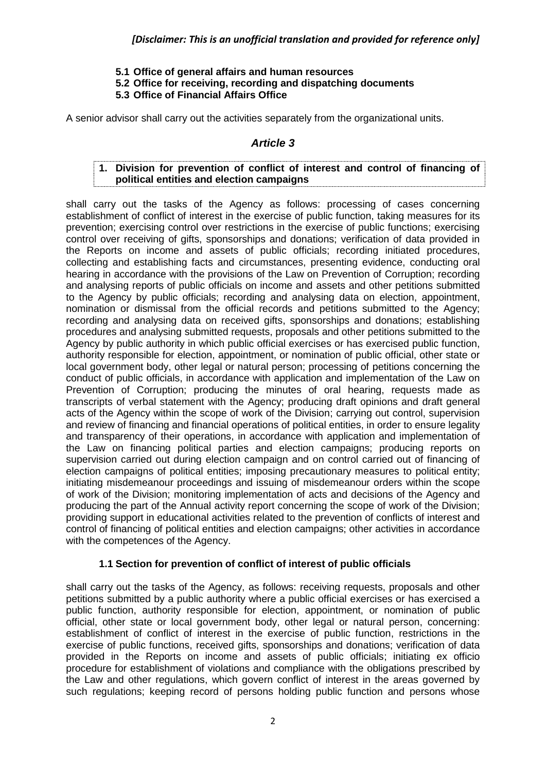- **5.1 Office of general affairs and human resources**
- **5.2 Office for receiving, recording and dispatching documents**

# **5.3 Office of Financial Affairs Office**

A senior advisor shall carry out the activities separately from the organizational units.

# *Article 3*

## **1. Division for prevention of conflict of interest and control of financing of political entities and election campaigns**

shall carry out the tasks of the Agency as follows: processing of cases concerning establishment of conflict of interest in the exercise of public function, taking measures for its prevention; exercising control over restrictions in the exercise of public functions; exercising control over receiving of gifts, sponsorships and donations; verification of data provided in the Reports on income and assets of public officials; recording initiated procedures, collecting and establishing facts and circumstances, presenting evidence, conducting oral hearing in accordance with the provisions of the Law on Prevention of Corruption; recording and analysing reports of public officials on income and assets and other petitions submitted to the Agency by public officials; recording and analysing data on election, appointment, nomination or dismissal from the official records and petitions submitted to the Agency; recording and analysing data on received gifts, sponsorships and donations; establishing procedures and analysing submitted requests, proposals and other petitions submitted to the Agency by public authority in which public official exercises or has exercised public function, authority responsible for election, appointment, or nomination of public official, other state or local government body, other legal or natural person; processing of petitions concerning the conduct of public officials, in accordance with application and implementation of the Law on Prevention of Corruption; producing the minutes of oral hearing, requests made as transcripts of verbal statement with the Agency; producing draft opinions and draft general acts of the Agency within the scope of work of the Division; carrying out control, supervision and review of financing and financial operations of political entities, in order to ensure legality and transparency of their operations, in accordance with application and implementation of the Law on financing political parties and election campaigns; producing reports on supervision carried out during election campaign and on control carried out of financing of election campaigns of political entities; imposing precautionary measures to political entity; initiating misdemeanour proceedings and issuing of misdemeanour orders within the scope of work of the Division; monitoring implementation of acts and decisions of the Agency and producing the part of the Annual activity report concerning the scope of work of the Division; providing support in educational activities related to the prevention of conflicts of interest and control of financing of political entities and election campaigns; other activities in accordance with the competences of the Agency.

# **1.1 Section for prevention of conflict of interest of public officials**

shall carry out the tasks of the Agency, as follows: receiving requests, proposals and other petitions submitted by a public authority where a public official exercises or has exercised a public function, authority responsible for election, appointment, or nomination of public official, other state or local government body, other legal or natural person, concerning: establishment of conflict of interest in the exercise of public function, restrictions in the exercise of public functions, received gifts, sponsorships and donations; verification of data provided in the Reports on income and assets of public officials; initiating ex officio procedure for establishment of violations and compliance with the obligations prescribed by the Law and other regulations, which govern conflict of interest in the areas governed by such regulations; keeping record of persons holding public function and persons whose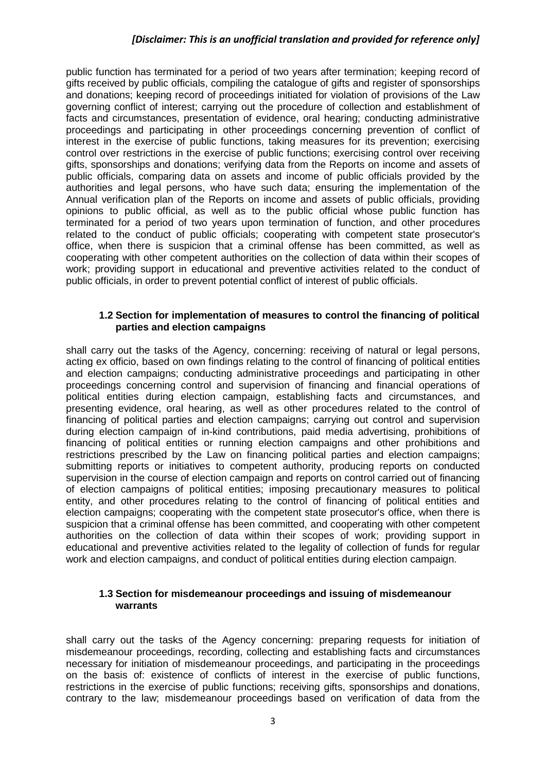public function has terminated for a period of two years after termination; keeping record of gifts received by public officials, compiling the catalogue of gifts and register of sponsorships and donations; keeping record of proceedings initiated for violation of provisions of the Law governing conflict of interest; carrying out the procedure of collection and establishment of facts and circumstances, presentation of evidence, oral hearing; conducting administrative proceedings and participating in other proceedings concerning prevention of conflict of interest in the exercise of public functions, taking measures for its prevention; exercising control over restrictions in the exercise of public functions; exercising control over receiving gifts, sponsorships and donations; verifying data from the Reports on income and assets of public officials, comparing data on assets and income of public officials provided by the authorities and legal persons, who have such data; ensuring the implementation of the Annual verification plan of the Reports on income and assets of public officials, providing opinions to public official, as well as to the public official whose public function has terminated for a period of two years upon termination of function, and other procedures related to the conduct of public officials; cooperating with competent state prosecutor's office, when there is suspicion that a criminal offense has been committed, as well as cooperating with other competent authorities on the collection of data within their scopes of work; providing support in educational and preventive activities related to the conduct of public officials, in order to prevent potential conflict of interest of public officials.

#### **1.2 Section for implementation of measures to control the financing of political parties and election campaigns**

shall carry out the tasks of the Agency, concerning: receiving of natural or legal persons, acting ex officio, based on own findings relating to the control of financing of political entities and election campaigns; conducting administrative proceedings and participating in other proceedings concerning control and supervision of financing and financial operations of political entities during election campaign, establishing facts and circumstances, and presenting evidence, oral hearing, as well as other procedures related to the control of financing of political parties and election campaigns; carrying out control and supervision during election campaign of in-kind contributions, paid media advertising, prohibitions of financing of political entities or running election campaigns and other prohibitions and restrictions prescribed by the Law on financing political parties and election campaigns; submitting reports or initiatives to competent authority, producing reports on conducted supervision in the course of election campaign and reports on control carried out of financing of election campaigns of political entities; imposing precautionary measures to political entity, and other procedures relating to the control of financing of political entities and election campaigns; cooperating with the competent state prosecutor's office, when there is suspicion that a criminal offense has been committed, and cooperating with other competent authorities on the collection of data within their scopes of work; providing support in educational and preventive activities related to the legality of collection of funds for regular work and election campaigns, and conduct of political entities during election campaign.

#### **1.3 Section for misdemeanour proceedings and issuing of misdemeanour warrants**

shall carry out the tasks of the Agency concerning: preparing requests for initiation of misdemeanour proceedings, recording, collecting and establishing facts and circumstances necessary for initiation of misdemeanour proceedings, and participating in the proceedings on the basis of: existence of conflicts of interest in the exercise of public functions, restrictions in the exercise of public functions; receiving gifts, sponsorships and donations, contrary to the law; misdemeanour proceedings based on verification of data from the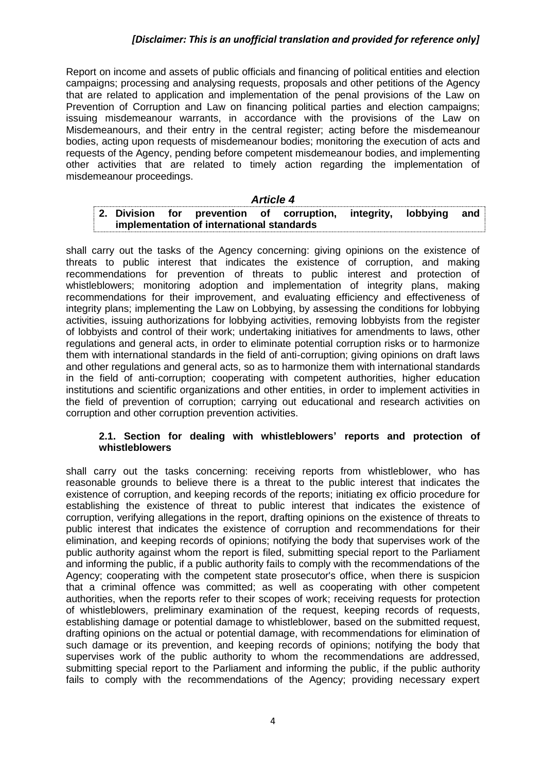Report on income and assets of public officials and financing of political entities and election campaigns; processing and analysing requests, proposals and other petitions of the Agency that are related to application and implementation of the penal provisions of the Law on Prevention of Corruption and Law on financing political parties and election campaigns; issuing misdemeanour warrants, in accordance with the provisions of the Law on Misdemeanours, and their entry in the central register; acting before the misdemeanour bodies, acting upon requests of misdemeanour bodies; monitoring the execution of acts and requests of the Agency, pending before competent misdemeanour bodies, and implementing other activities that are related to timely action regarding the implementation of misdemeanour proceedings.

#### *Article 4*

|  |                                           |  | 2. Division for prevention of corruption, integrity, lobbying and |  |  |
|--|-------------------------------------------|--|-------------------------------------------------------------------|--|--|
|  | implementation of international standards |  |                                                                   |  |  |

shall carry out the tasks of the Agency concerning: giving opinions on the existence of threats to public interest that indicates the existence of corruption, and making recommendations for prevention of threats to public interest and protection of whistleblowers; monitoring adoption and implementation of integrity plans, making recommendations for their improvement, and evaluating efficiency and effectiveness of integrity plans; implementing the Law on Lobbying, by assessing the conditions for lobbying activities, issuing authorizations for lobbying activities, removing lobbyists from the register of lobbyists and control of their work; undertaking initiatives for amendments to laws, other regulations and general acts, in order to eliminate potential corruption risks or to harmonize them with international standards in the field of anti-corruption; giving opinions on draft laws and other regulations and general acts, so as to harmonize them with international standards in the field of anti-corruption; cooperating with competent authorities, higher education institutions and scientific organizations and other entities, in order to implement activities in the field of prevention of corruption; carrying out educational and research activities on corruption and other corruption prevention activities.

#### **2.1. Section for dealing with whistleblowers' reports and protection of whistleblowers**

shall carry out the tasks concerning: receiving reports from whistleblower, who has reasonable grounds to believe there is a threat to the public interest that indicates the existence of corruption, and keeping records of the reports; initiating ex officio procedure for establishing the existence of threat to public interest that indicates the existence of corruption, verifying allegations in the report, drafting opinions on the existence of threats to public interest that indicates the existence of corruption and recommendations for their elimination, and keeping records of opinions; notifying the body that supervises work of the public authority against whom the report is filed, submitting special report to the Parliament and informing the public, if a public authority fails to comply with the recommendations of the Agency; cooperating with the competent state prosecutor's office, when there is suspicion that a criminal offence was committed; as well as cooperating with other competent authorities, when the reports refer to their scopes of work; receiving requests for protection of whistleblowers, preliminary examination of the request, keeping records of requests, establishing damage or potential damage to whistleblower, based on the submitted request, drafting opinions on the actual or potential damage, with recommendations for elimination of such damage or its prevention, and keeping records of opinions; notifying the body that supervises work of the public authority to whom the recommendations are addressed, submitting special report to the Parliament and informing the public, if the public authority fails to comply with the recommendations of the Agency; providing necessary expert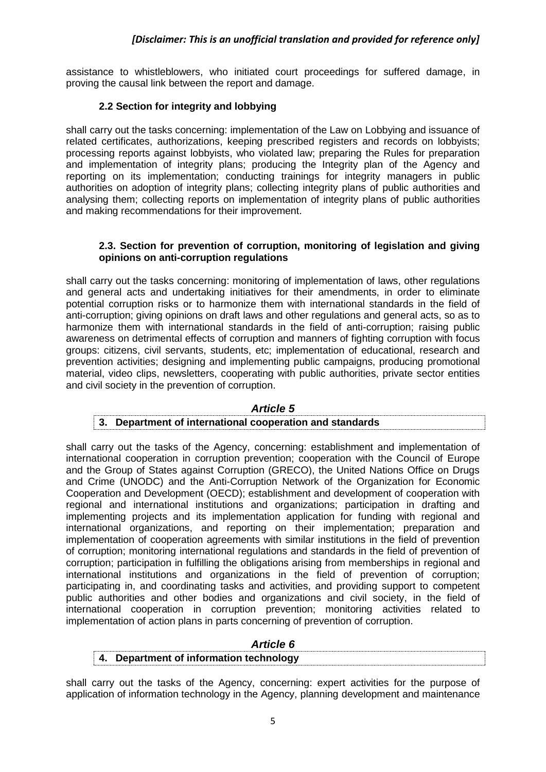assistance to whistleblowers, who initiated court proceedings for suffered damage, in proving the causal link between the report and damage.

# **2.2 Section for integrity and lobbying**

shall carry out the tasks concerning: implementation of the Law on Lobbying and issuance of related certificates, authorizations, keeping prescribed registers and records on lobbyists; processing reports against lobbyists, who violated law; preparing the Rules for preparation and implementation of integrity plans; producing the Integrity plan of the Agency and reporting on its implementation; conducting trainings for integrity managers in public authorities on adoption of integrity plans; collecting integrity plans of public authorities and analysing them; collecting reports on implementation of integrity plans of public authorities and making recommendations for their improvement.

### **2.3. Section for prevention of corruption, monitoring of legislation and giving opinions on anti-corruption regulations**

shall carry out the tasks concerning: monitoring of implementation of laws, other regulations and general acts and undertaking initiatives for their amendments, in order to eliminate potential corruption risks or to harmonize them with international standards in the field of anti-corruption; giving opinions on draft laws and other regulations and general acts, so as to harmonize them with international standards in the field of anti-corruption; raising public awareness on detrimental effects of corruption and manners of fighting corruption with focus groups: citizens, civil servants, students, etc; implementation of educational, research and prevention activities; designing and implementing public campaigns, producing promotional material, video clips, newsletters, cooperating with public authorities, private sector entities and civil society in the prevention of corruption.

#### *Article 5*

#### **3. Department of international cooperation and standards**

shall carry out the tasks of the Agency, concerning: establishment and implementation of international cooperation in corruption prevention; cooperation with the Council of Europe and the Group of States against Corruption (GRECO), the United Nations Office on Drugs and Crime (UNODC) and the Anti-Corruption Network of the Organization for Economic Cooperation and Development (OECD); establishment and development of cooperation with regional and international institutions and organizations; participation in drafting and implementing projects and its implementation application for funding with regional and international organizations, and reporting on their implementation; preparation and implementation of cooperation agreements with similar institutions in the field of prevention of corruption; monitoring international regulations and standards in the field of prevention of corruption; participation in fulfilling the obligations arising from memberships in regional and international institutions and organizations in the field of prevention of corruption; participating in, and coordinating tasks and activities, and providing support to competent public authorities and other bodies and organizations and civil society, in the field of international cooperation in corruption prevention; monitoring activities related to implementation of action plans in parts concerning of prevention of corruption.

| <i><b>Article 6</b></i>              |  |
|--------------------------------------|--|
| Department of information technology |  |

shall carry out the tasks of the Agency, concerning: expert activities for the purpose of application of information technology in the Agency, planning development and maintenance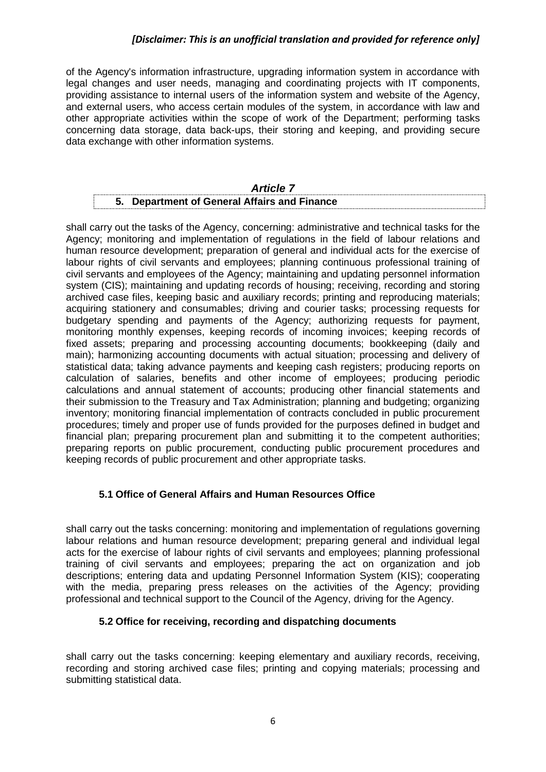of the Agency's information infrastructure, upgrading information system in accordance with legal changes and user needs, managing and coordinating projects with IT components, providing assistance to internal users of the information system and website of the Agency, and external users, who access certain modules of the system, in accordance with law and other appropriate activities within the scope of work of the Department; performing tasks concerning data storage, data back-ups, their storing and keeping, and providing secure data exchange with other information systems.

| <b>Article 7</b> |                                                  |  |  |  |  |  |  |
|------------------|--------------------------------------------------|--|--|--|--|--|--|
|                  | <b>Department of General Affairs and Finance</b> |  |  |  |  |  |  |

shall carry out the tasks of the Agency, concerning: administrative and technical tasks for the Agency; monitoring and implementation of regulations in the field of labour relations and human resource development; preparation of general and individual acts for the exercise of labour rights of civil servants and employees; planning continuous professional training of civil servants and employees of the Agency; maintaining and updating personnel information system (CIS); maintaining and updating records of housing; receiving, recording and storing archived case files, keeping basic and auxiliary records; printing and reproducing materials; acquiring stationery and consumables; driving and courier tasks; processing requests for budgetary spending and payments of the Agency; authorizing requests for payment, monitoring monthly expenses, keeping records of incoming invoices; keeping records of fixed assets; preparing and processing accounting documents; bookkeeping (daily and main); harmonizing accounting documents with actual situation; processing and delivery of statistical data; taking advance payments and keeping cash registers; producing reports on calculation of salaries, benefits and other income of employees; producing periodic calculations and annual statement of accounts; producing other financial statements and their submission to the Treasury and Tax Administration; planning and budgeting; organizing inventory; monitoring financial implementation of contracts concluded in public procurement procedures; timely and proper use of funds provided for the purposes defined in budget and financial plan; preparing procurement plan and submitting it to the competent authorities; preparing reports on public procurement, conducting public procurement procedures and keeping records of public procurement and other appropriate tasks.

# **5.1 Office of General Affairs and Human Resources Office**

shall carry out the tasks concerning: monitoring and implementation of regulations governing labour relations and human resource development; preparing general and individual legal acts for the exercise of labour rights of civil servants and employees; planning professional training of civil servants and employees; preparing the act on organization and job descriptions; entering data and updating Personnel Information System (KIS); cooperating with the media, preparing press releases on the activities of the Agency; providing professional and technical support to the Council of the Agency, driving for the Agency.

#### **5.2 Office for receiving, recording and dispatching documents**

shall carry out the tasks concerning: keeping elementary and auxiliary records, receiving, recording and storing archived case files; printing and copying materials; processing and submitting statistical data.